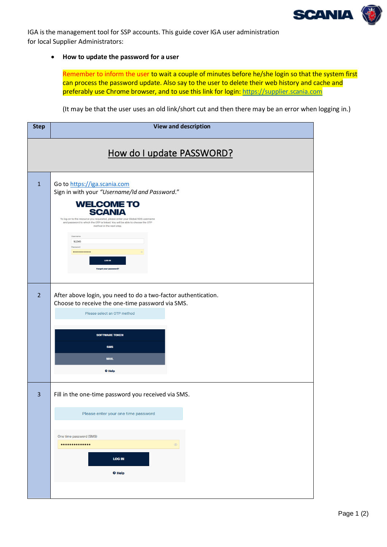

<span id="page-0-0"></span>IGA is the management tool for SSP accounts. This guide cover IGA user administration for local Supplier Administrators:

## • **How to update the password for a user**

Remember to inform the user to wait a couple of minutes before he/she login so that the system first can process the password update. Also say to the user to delete their web history and cache and preferably use Chrome browser, and to use this link for login[: https://supplier.scania.com](https://supplier.scania.com/)

(It may be that the user uses an old link/short cut and then there may be an error when logging in.)

| <b>Step</b>               | <b>View and description</b>                                                                                                                                                                                                                                                                                                                                                                |  |
|---------------------------|--------------------------------------------------------------------------------------------------------------------------------------------------------------------------------------------------------------------------------------------------------------------------------------------------------------------------------------------------------------------------------------------|--|
| How do I update PASSWORD? |                                                                                                                                                                                                                                                                                                                                                                                            |  |
| $\mathbf{1}$              | Go to https://iga.scania.com<br>Sign in with your "Username/Id and Password."<br><b>WELCOME TO</b><br><b>SCANIA</b><br>To log on to the resource you requested, please enter your Global/XDS username<br>and password to which the OTP is linked. You will be able to choose the OTP<br>method in the next step.<br>Username<br>\$12345<br>Password<br><br>LOG IN<br>Forgot your password? |  |
| $\overline{2}$            | After above login, you need to do a two-factor authentication.<br>Choose to receive the one-time password via SMS.<br>Please select an OTP method<br><b>SOFTWARE TOKEN</b><br><b>SMS</b><br><b>MAIL</b><br><sup>O</sup> Help                                                                                                                                                               |  |
| $\overline{3}$            | Fill in the one-time password you received via SMS.<br>Please enter your one time password<br>One time password (SMS)<br>$\circledcirc$<br><b>LOG IN</b><br><b>O</b> Help                                                                                                                                                                                                                  |  |